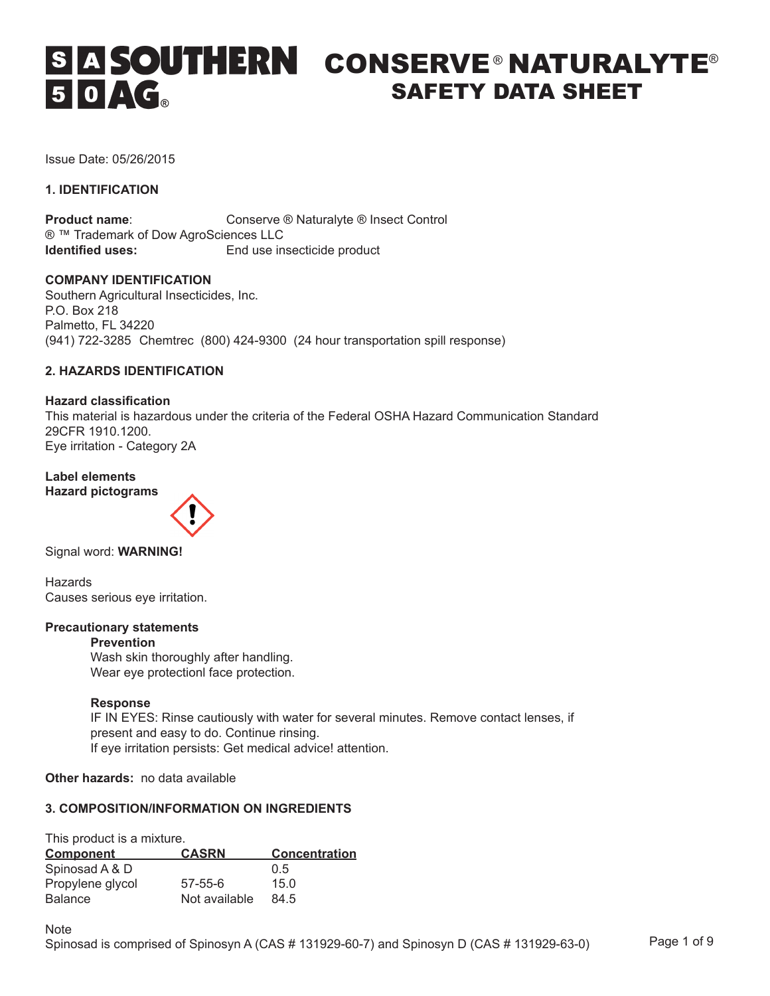# CONSERVE® NATURALYTE®  $50 \triangle G$ SAFETY DATA SHEET

Issue Date: 05/26/2015

# **1. IDENTIFICATION**

**Product name:** Conserve ® Naturalyte ® Insect Control ® ™ Trademark of Dow AgroSciences LLC<br>**Identified uses:** End use in **End use insecticide product** 

# **COMPANY IDENTIFICATION**

Southern Agricultural Insecticides, Inc. P.O. Box 218 Palmetto, FL 34220 (941) 722-3285 Chemtrec (800) 424-9300 (24 hour transportation spill response)

# **2. HAZARDS IDENTIFICATION**

**Hazard classification** This material is hazardous under the criteria of the Federal OSHA Hazard Communication Standard 29CFR 1910.1200. Eye irritation - Category 2A

**Label elements Hazard pictograms** 



Signal word: **WARNING!** 

Hazards Causes serious eye irritation.

# **Precautionary statements**

# **Prevention**

 Wash skin thoroughly after handling. Wear eye protectionl face protection.

# **Response**

 IF IN EYES: Rinse cautiously with water for several minutes. Remove contact lenses, if present and easy to do. Continue rinsing. If eye irritation persists: Get medical advice! attention.

**Other hazards:** no data available

# **3. COMPOSITION/INFORMATION ON INGREDIENTS**

This product is a mixture.

| <b>Component</b> | <b>CASRN</b>  | <b>Concentration</b> |
|------------------|---------------|----------------------|
| Spinosad A & D   |               | 0.5                  |
| Propylene glycol | $57 - 55 - 6$ | 15.0                 |
| <b>Balance</b>   | Not available | 84.5                 |

**Note**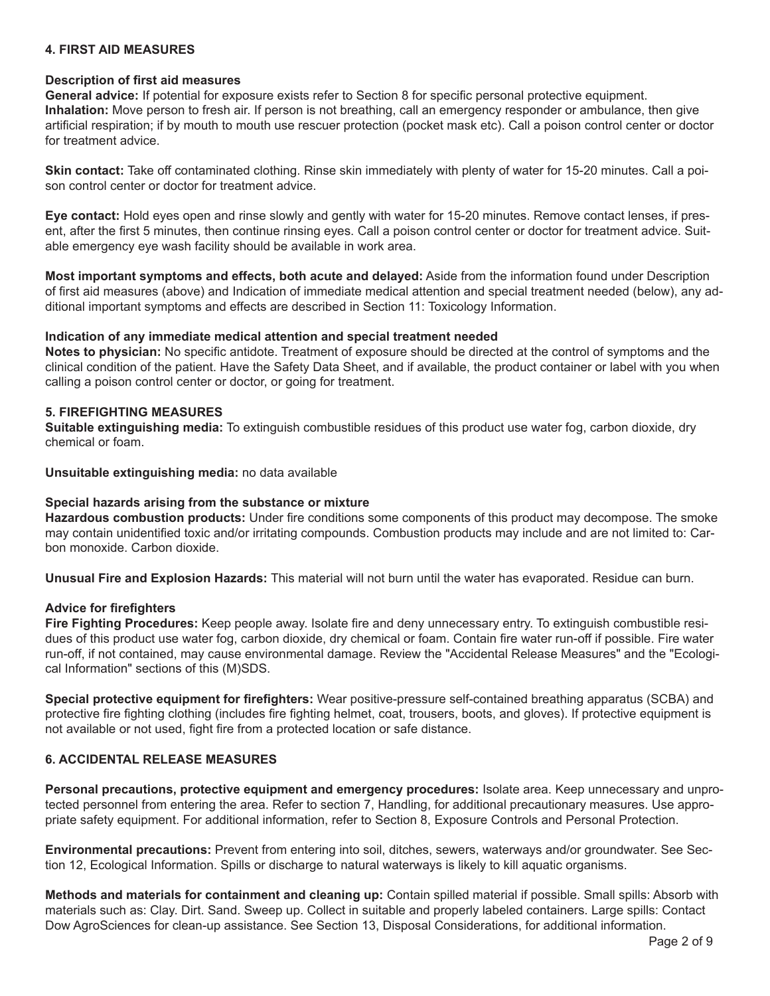# **4. FIRST AID MEASURES**

### **Description of first aid measures**

**General advice:** If potential for exposure exists refer to Section 8 for specific personal protective equipment. **Inhalation:** Move person to fresh air. If person is not breathing, call an emergency responder or ambulance, then give artificial respiration; if by mouth to mouth use rescuer protection (pocket mask etc). Call a poison control center or doctor for treatment advice.

**Skin contact:** Take off contaminated clothing. Rinse skin immediately with plenty of water for 15-20 minutes. Call a poison control center or doctor for treatment advice.

**Eye contact:** Hold eyes open and rinse slowly and gently with water for 15-20 minutes. Remove contact lenses, if present, after the first 5 minutes, then continue rinsing eyes. Call a poison control center or doctor for treatment advice. Suitable emergency eye wash facility should be available in work area.

**Most important symptoms and effects, both acute and delayed:** Aside from the information found under Description of first aid measures (above) and Indication of immediate medical attention and special treatment needed (below), any additional important symptoms and effects are described in Section 11: Toxicology Information.

### **Indication of any immediate medical attention and special treatment needed**

**Notes to physician:** No specific antidote. Treatment of exposure should be directed at the control of symptoms and the clinical condition of the patient. Have the Safety Data Sheet, and if available, the product container or label with you when calling a poison control center or doctor, or going for treatment.

### **5. FIREFIGHTING MEASURES**

**Suitable extinguishing media:** To extinguish combustible residues of this product use water fog, carbon dioxide, dry chemical or foam.

# **Unsuitable extinguishing media:** no data available

# **Special hazards arising from the substance or mixture**

**Hazardous combustion products:** Under fire conditions some components of this product may decompose. The smoke may contain unidentified toxic and/or irritating compounds. Combustion products may include and are not limited to: Carbon monoxide. Carbon dioxide.

**Unusual Fire and Explosion Hazards:** This material will not burn until the water has evaporated. Residue can burn.

# **Advice for firefighters**

**Fire Fighting Procedures:** Keep people away. Isolate fire and deny unnecessary entry. To extinguish combustible residues of this product use water fog, carbon dioxide, dry chemical or foam. Contain fire water run-off if possible. Fire water run-off, if not contained, may cause environmental damage. Review the "Accidental Release Measures" and the "Ecological Information" sections of this (M)SDS.

**Special protective equipment for firefighters:** Wear positive-pressure self-contained breathing apparatus (SCBA) and protective fire fighting clothing (includes fire fighting helmet, coat, trousers, boots, and gloves). If protective equipment is not available or not used, fight fire from a protected location or safe distance.

# **6. ACCIDENTAL RELEASE MEASURES**

**Personal precautions, protective equipment and emergency procedures:** Isolate area. Keep unnecessary and unprotected personnel from entering the area. Refer to section 7, Handling, for additional precautionary measures. Use appropriate safety equipment. For additional information, refer to Section 8, Exposure Controls and Personal Protection.

**Environmental precautions:** Prevent from entering into soil, ditches, sewers, waterways and/or groundwater. See Section 12, Ecological Information. Spills or discharge to natural waterways is likely to kill aquatic organisms.

**Methods and materials for containment and cleaning up:** Contain spilled material if possible. Small spills: Absorb with materials such as: Clay. Dirt. Sand. Sweep up. Collect in suitable and properly labeled containers. Large spills: Contact Dow AgroSciences for clean-up assistance. See Section 13, Disposal Considerations, for additional information.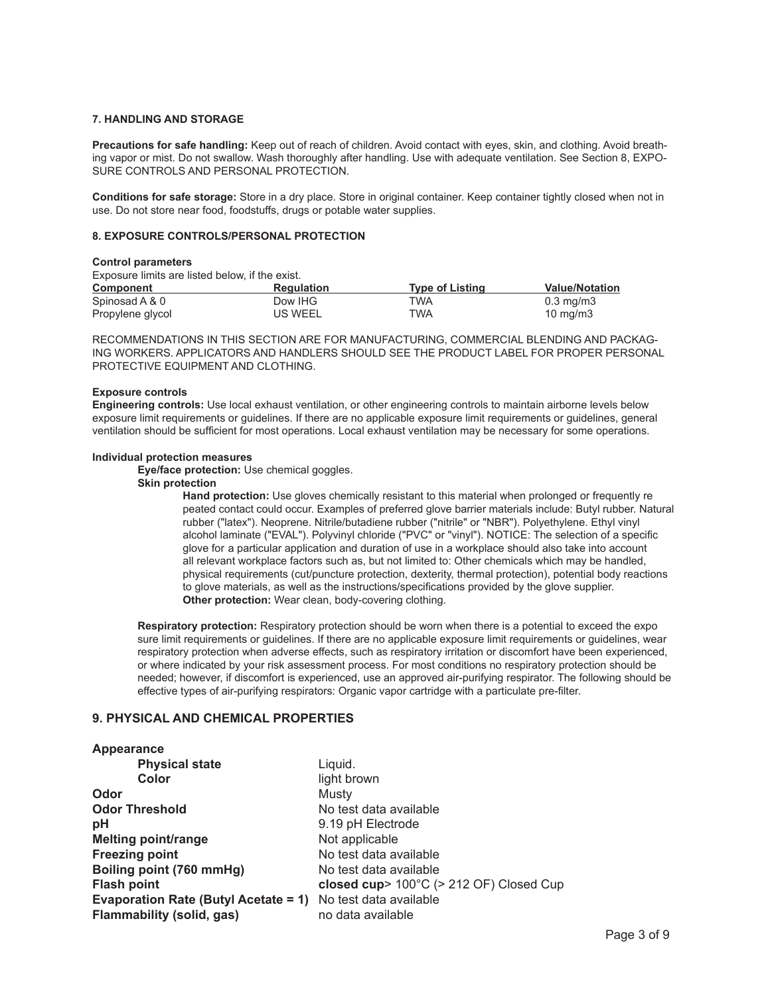#### **7. HANDLING AND STORAGE**

**Precautions for safe handling:** Keep out of reach of children. Avoid contact with eyes, skin, and clothing. Avoid breathing vapor or mist. Do not swallow. Wash thoroughly after handling. Use with adequate ventilation. See Section 8, EXPO-SURE CONTROLS AND PERSONAL PROTECTION.

**Conditions for safe storage:** Store in a dry place. Store in original container. Keep container tightly closed when not in use. Do not store near food, foodstuffs, drugs or potable water supplies.

#### **8. EXPOSURE CONTROLS/PERSONAL PROTECTION**

#### **Control parameters**

Exposure limits are listed below, if the exist.

| <b>Component</b> | <b>Regulation</b> | Tvpe of Listina | <b>Value/Notation</b> |
|------------------|-------------------|-----------------|-----------------------|
| Spinosad A & 0   | Dow IHG           | TWA             | $0.3 \text{ mg/m}$    |
| Propylene glycol | US WEEL           | TWA             | $10 \text{ mg/m}$     |

RECOMMENDATIONS IN THIS SECTION ARE FOR MANUFACTURING, COMMERCIAL BLENDING AND PACKAG-ING WORKERS. APPLICATORS AND HANDLERS SHOULD SEE THE PRODUCT LABEL FOR PROPER PERSONAL PROTECTIVE EQUIPMENT AND CLOTHING.

#### **Exposure controls**

**Engineering controls:** Use local exhaust ventilation, or other engineering controls to maintain airborne levels below exposure limit requirements or guidelines. If there are no applicable exposure limit requirements or guidelines, general ventilation should be sufficient for most operations. Local exhaust ventilation may be necessary for some operations.

#### **Individual protection measures**

**Eye/face protection:** Use chemical goggles.

#### **Skin protection**

 **Hand protection:** Use gloves chemically resistant to this material when prolonged or frequently re peated contact could occur. Examples of preferred glove barrier materials include: Butyl rubber. Natural rubber ("latex"). Neoprene. Nitrile/butadiene rubber ("nitrile" or "NBR"). Polyethylene. Ethyl vinyl alcohol laminate ("EVAL"). Polyvinyl chloride ("PVC" or "vinyl"). NOTICE: The selection of a specific glove for a particular application and duration of use in a workplace should also take into account all relevant workplace factors such as, but not limited to: Other chemicals which may be handled, physical requirements (cut/puncture protection, dexterity, thermal protection), potential body reactions to glove materials, as well as the instructions/specifications provided by the glove supplier. **Other protection:** Wear clean, body-covering clothing.

**Respiratory protection:** Respiratory protection should be worn when there is a potential to exceed the expo sure limit requirements or guidelines. If there are no applicable exposure limit requirements or guidelines, wear respiratory protection when adverse effects, such as respiratory irritation or discomfort have been experienced, or where indicated by your risk assessment process. For most conditions no respiratory protection should be needed; however, if discomfort is experienced, use an approved air-purifying respirator. The following should be effective types of air-purifying respirators: Organic vapor cartridge with a particulate pre-filter.

# **9. PHYSICAL AND CHEMICAL PROPERTIES**

#### **Appearance**

| <b>Physical state</b>                                              | Liquid.                                 |
|--------------------------------------------------------------------|-----------------------------------------|
| Color                                                              | light brown                             |
| Odor                                                               | Musty                                   |
| <b>Odor Threshold</b>                                              | No test data available                  |
| pH                                                                 | 9.19 pH Electrode                       |
| <b>Melting point/range</b>                                         | Not applicable                          |
| <b>Freezing point</b>                                              | No test data available                  |
| Boiling point (760 mmHg)                                           | No test data available                  |
| <b>Flash point</b>                                                 | closed cup> 100°C (> 212 OF) Closed Cup |
| <b>Evaporation Rate (Butyl Acetate = 1)</b> No test data available |                                         |
| Flammability (solid, gas)                                          | no data available                       |
|                                                                    |                                         |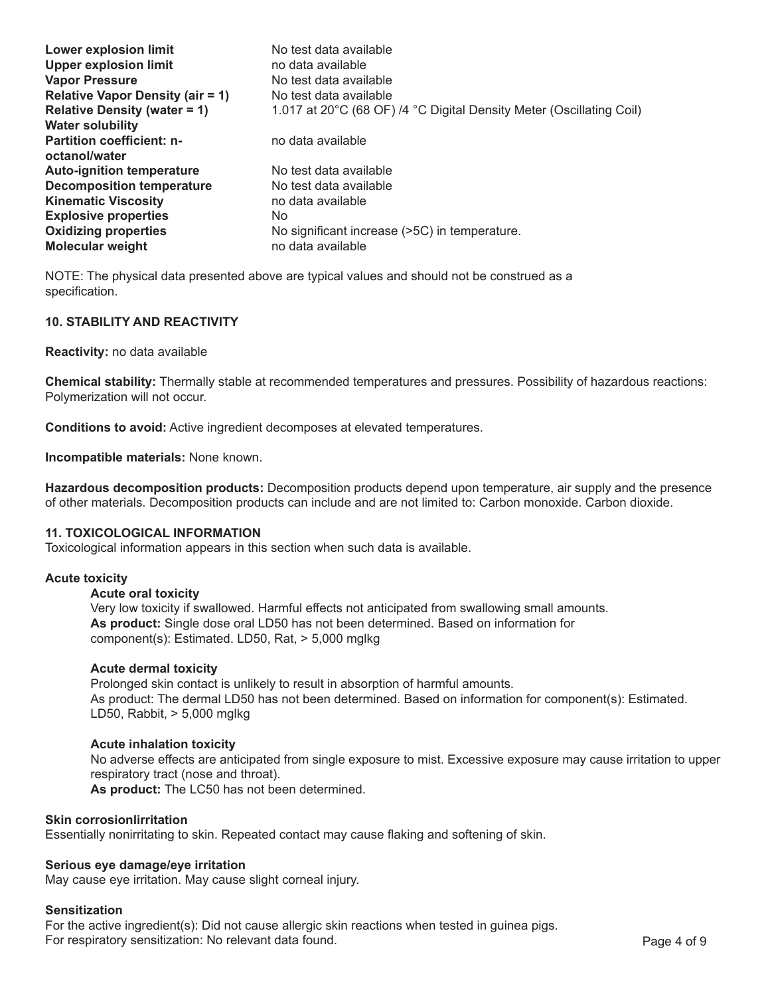| <b>Upper explosion limit</b><br>no data available                                                           |  |
|-------------------------------------------------------------------------------------------------------------|--|
|                                                                                                             |  |
| <b>Vapor Pressure</b><br>No test data available                                                             |  |
| <b>Relative Vapor Density (air = 1)</b><br>No test data available                                           |  |
| 1.017 at 20°C (68 OF) /4 °C Digital Density Meter (Oscillating Coil)<br><b>Relative Density (water = 1)</b> |  |
| <b>Water solubility</b>                                                                                     |  |
| <b>Partition coefficient: n-</b><br>no data available                                                       |  |
| octanol/water                                                                                               |  |
| <b>Auto-ignition temperature</b><br>No test data available                                                  |  |
| <b>Decomposition temperature</b><br>No test data available                                                  |  |
| <b>Kinematic Viscosity</b><br>no data available                                                             |  |
| <b>Explosive properties</b><br>No.                                                                          |  |
| <b>Oxidizing properties</b><br>No significant increase (>5C) in temperature.                                |  |
| no data available<br><b>Molecular weight</b>                                                                |  |

NOTE: The physical data presented above are typical values and should not be construed as a specification.

# **10. STABILITY AND REACTIVITY**

**Reactivity:** no data available

**Chemical stability:** Thermally stable at recommended temperatures and pressures. Possibility of hazardous reactions: Polymerization will not occur.

**Conditions to avoid:** Active ingredient decomposes at elevated temperatures.

**Incompatible materials:** None known.

**Hazardous decomposition products:** Decomposition products depend upon temperature, air supply and the presence of other materials. Decomposition products can include and are not limited to: Carbon monoxide. Carbon dioxide.

# **11. TOXICOLOGICAL INFORMATION**

Toxicological information appears in this section when such data is available.

### **Acute toxicity**

# **Acute oral toxicity**

 Very low toxicity if swallowed. Harmful effects not anticipated from swallowing small amounts. **As product:** Single dose oral LD50 has not been determined. Based on information for component(s): Estimated. LD50, Rat, > 5,000 mglkg

### **Acute dermal toxicity**

 Prolonged skin contact is unlikely to result in absorption of harmful amounts. As product: The dermal LD50 has not been determined. Based on information for component(s): Estimated. LD50, Rabbit, > 5,000 mglkg

### **Acute inhalation toxicity**

 No adverse effects are anticipated from single exposure to mist. Excessive exposure may cause irritation to upper respiratory tract (nose and throat). **As product:** The LC50 has not been determined.

### **Skin corrosionlirritation**

Essentially nonirritating to skin. Repeated contact may cause flaking and softening of skin.

### **Serious eye damage/eye irritation**

May cause eye irritation. May cause slight corneal injury.

### **Sensitization**

For the active ingredient(s): Did not cause allergic skin reactions when tested in guinea pigs. For respiratory sensitization: No relevant data found. The example of 9 Page 4 of 9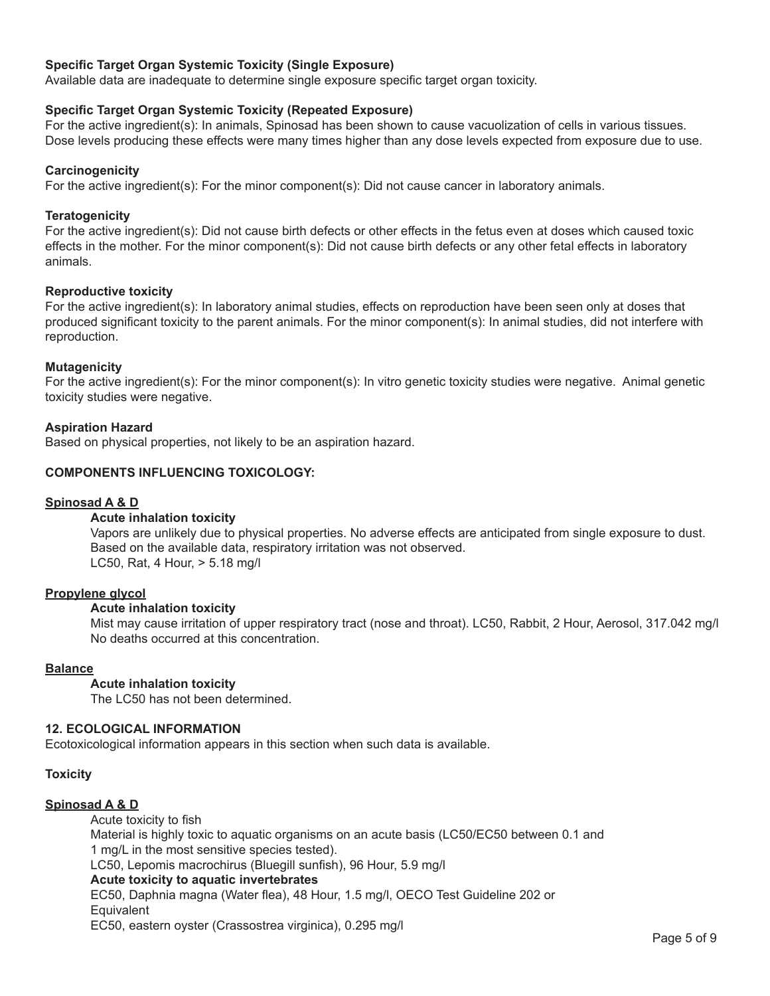# **Specific Target Organ Systemic Toxicity (Single Exposure)**

Available data are inadequate to determine single exposure specific target organ toxicity.

# **Specific Target Organ Systemic Toxicity (Repeated Exposure)**

For the active ingredient(s): In animals, Spinosad has been shown to cause vacuolization of cells in various tissues. Dose levels producing these effects were many times higher than any dose levels expected from exposure due to use.

# **Carcinogenicity**

For the active ingredient(s): For the minor component(s): Did not cause cancer in laboratory animals.

# **Teratogenicity**

For the active ingredient(s): Did not cause birth defects or other effects in the fetus even at doses which caused toxic effects in the mother. For the minor component(s): Did not cause birth defects or any other fetal effects in laboratory animals.

# **Reproductive toxicity**

For the active ingredient(s): In laboratory animal studies, effects on reproduction have been seen only at doses that produced significant toxicity to the parent animals. For the minor component(s): In animal studies, did not interfere with reproduction.

# **Mutagenicity**

For the active ingredient(s): For the minor component(s): In vitro genetic toxicity studies were negative. Animal genetic toxicity studies were negative.

# **Aspiration Hazard**

Based on physical properties, not likely to be an aspiration hazard.

# **COMPONENTS INFLUENCING TOXICOLOGY:**

# **Spinosad A & D**

# **Acute inhalation toxicity**

 Vapors are unlikely due to physical properties. No adverse effects are anticipated from single exposure to dust. Based on the available data, respiratory irritation was not observed. LC50, Rat, 4 Hour, > 5.18 mg/l

# **Propylene glycol**

# **Acute inhalation toxicity**

 Mist may cause irritation of upper respiratory tract (nose and throat). LC50, Rabbit, 2 Hour, Aerosol, 317.042 mg/l No deaths occurred at this concentration.

# **Balance**

**Acute inhalation toxicity**

 The LC50 has not been determined.

# **12. ECOLOGICAL INFORMATION**

Ecotoxicological information appears in this section when such data is available.

# **Toxicity**

# **Spinosad A & D**

 Acute toxicity to fish Material is highly toxic to aquatic organisms on an acute basis (LC50/EC50 between 0.1 and 1 mg/L in the most sensitive species tested). LC50, Lepomis macrochirus (Bluegill sunfish), 96 Hour, 5.9 mg/l **Acute toxicity to aquatic invertebrates**  EC50, Daphnia magna (Water flea), 48 Hour, 1.5 mg/l, OECO Test Guideline 202 or **Equivalent**  EC50, eastern oyster (Crassostrea virginica), 0.295 mg/l

Page 5 of 9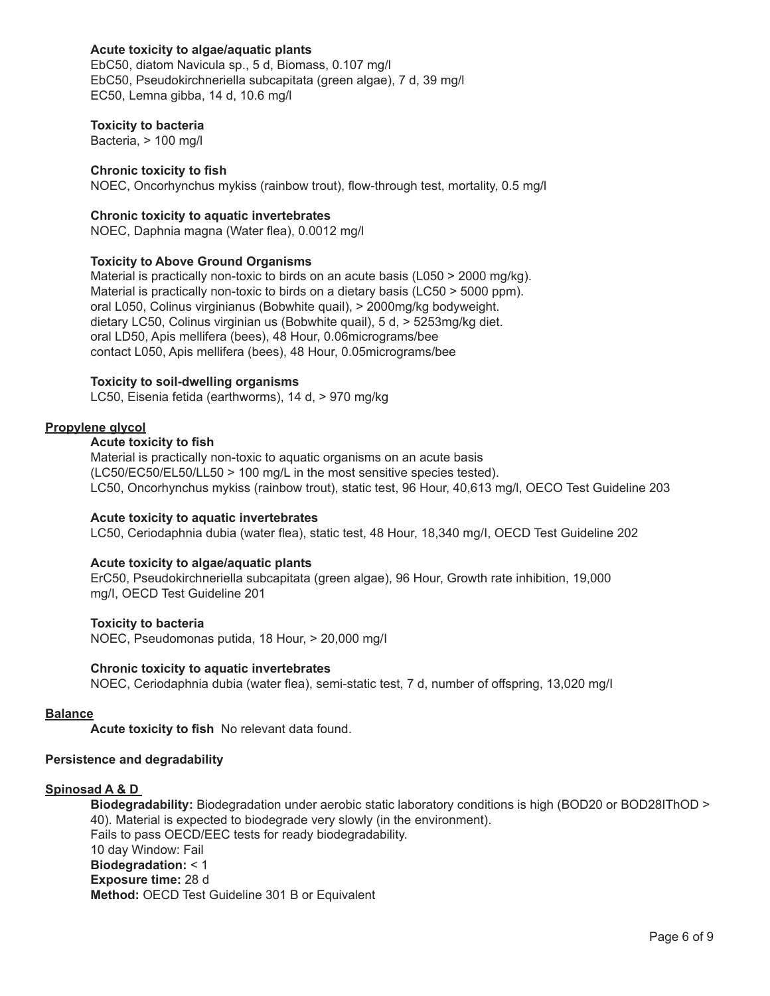# **Acute toxicity to algae/aquatic plants**

 EbC50, diatom Navicula sp., 5 d, Biomass, 0.107 mg/l EbC50, Pseudokirchneriella subcapitata (green algae), 7 d, 39 mg/l EC50, Lemna gibba, 14 d, 10.6 mg/l

# **Toxicity to bacteria**

 Bacteria, > 100 mg/l

# **Chronic toxicity to fish**

 NOEC, Oncorhynchus mykiss (rainbow trout), flow-through test, mortality, 0.5 mg/l

# **Chronic toxicity to aquatic invertebrates**

 NOEC, Daphnia magna (Water flea), 0.0012 mg/l

# **Toxicity to Above Ground Organisms**

 Material is practically non-toxic to birds on an acute basis (L050 > 2000 mg/kg). Material is practically non-toxic to birds on a dietary basis (LC50 > 5000 ppm). oral L050, Colinus virginianus (Bobwhite quail), > 2000mg/kg bodyweight. dietary LC50, Colinus virginian us (Bobwhite quail), 5 d, > 5253mg/kg diet. oral LD50, Apis mellifera (bees), 48 Hour, 0.06micrograms/bee contact L050, Apis mellifera (bees), 48 Hour, 0.05micrograms/bee

### **Toxicity to soil-dwelling organisms**

 LC50, Eisenia fetida (earthworms), 14 d, > 970 mg/kg

# **Propylene glycol**

# **Acute toxicity to fish**

 Material is practically non-toxic to aquatic organisms on an acute basis (LC50/EC50/EL50/LL50 > 100 mg/L in the most sensitive species tested). LC50, Oncorhynchus mykiss (rainbow trout), static test, 96 Hour, 40,613 mg/l, OECO Test Guideline 203

### **Acute toxicity to aquatic invertebrates**

 LC50, Ceriodaphnia dubia (water flea), static test, 48 Hour, 18,340 mg/I, OECD Test Guideline 202

# **Acute toxicity to algae/aquatic plants**

 ErC50, Pseudokirchneriella subcapitata (green algae), 96 Hour, Growth rate inhibition, 19,000 mg/I, OECD Test Guideline 201

### **Toxicity to bacteria**  NOEC, Pseudomonas putida, 18 Hour, > 20,000 mg/I

# **Chronic toxicity to aquatic invertebrates**

 NOEC, Ceriodaphnia dubia (water flea), semi-static test, 7 d, number of offspring, 13,020 mg/I

### **Balance**

**Acute toxicity to fish** No relevant data found.

# **Persistence and degradability**

# **Spinosad A & D**

**Biodegradability:** Biodegradation under aerobic static laboratory conditions is high (BOD20 or BOD28IThOD > 40). Material is expected to biodegrade very slowly (in the environment). Fails to pass OECD/EEC tests for ready biodegradability. 10 day Window: Fail **Biodegradation:** < 1 **Exposure time:** 28 d **Method:** OECD Test Guideline 301 B or Equivalent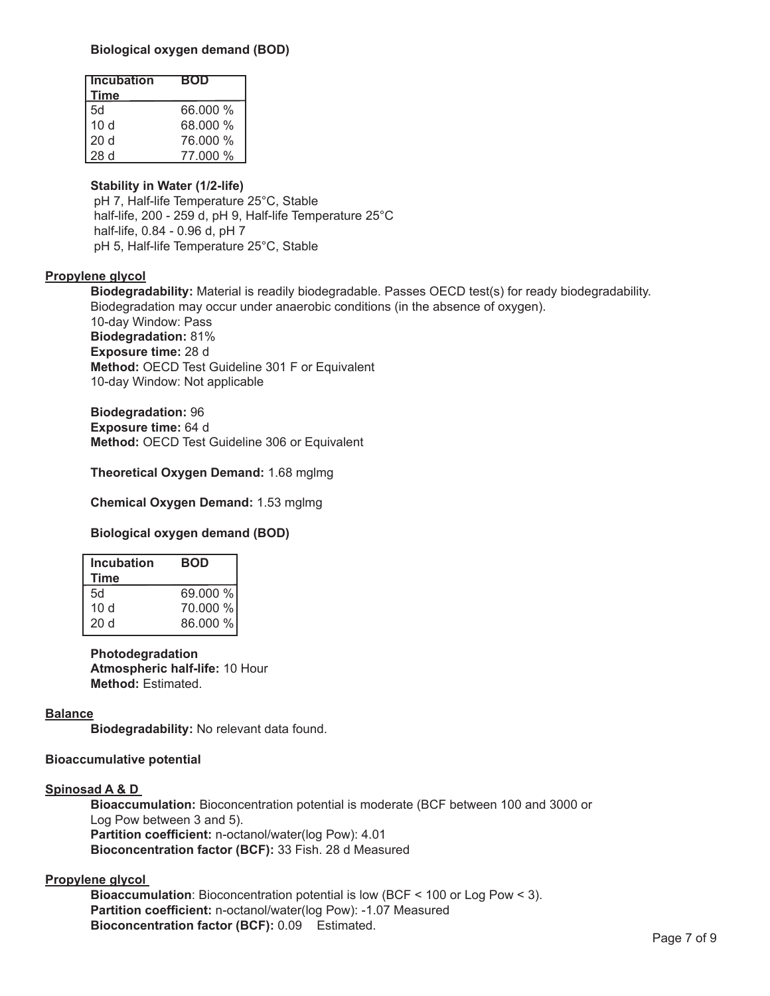# **Biological oxygen demand (BOD)**

| <b>Incubation</b> | <b>BOD</b> |
|-------------------|------------|
| <b>Time</b>       |            |
| 5d                | 66,000 %   |
| 10 <sub>d</sub>   | 68.000 %   |
| 20 <sub>d</sub>   | 76.000 %   |
| 28d               | 77.000 %   |

# **Stability in Water (1/2-life)**

pH 7, Half-life Temperature 25°C, Stable half-life, 200 - 259 d, pH 9, Half-life Temperature 25°C half-life, 0.84 - 0.96 d, pH 7 pH 5, Half-life Temperature 25°C, Stable

# **Propylene glycol**

**Biodegradability:** Material is readily biodegradable. Passes OECD test(s) for ready biodegradability. Biodegradation may occur under anaerobic conditions (in the absence of oxygen). 10-day Window: Pass **Biodegradation:** 81% **Exposure time:** 28 d **Method:** OECD Test Guideline 301 F or Equivalent 10-day Window: Not applicable

**Biodegradation:** 96 **Exposure time:** 64 d **Method:** OECD Test Guideline 306 or Equivalent

**Theoretical Oxygen Demand:** 1.68 mglmg

**Chemical Oxygen Demand:** 1.53 mglmg

**Biological oxygen demand (BOD)**

| <b>Incubation</b> | <b>BOD</b> |
|-------------------|------------|
| Time              |            |
| 5d                | 69.000 %   |
| 10d               | 70.000 %   |
| 20d               | 86.000 %   |
|                   |            |

**Photodegradation Atmospheric half-life:** 10 Hour **Method:** Estimated.

# **Balance**

**Biodegradability:** No relevant data found.

# **Bioaccumulative potential**

# **Spinosad A & D**

**Bioaccumulation:** Bioconcentration potential is moderate (BCF between 100 and 3000 or Log Pow between 3 and 5). **Partition coefficient:** n-octanol/water(log Pow): 4.01 **Bioconcentration factor (BCF):** 33 Fish. 28 d Measured

# **Propylene glycol**

**Bioaccumulation**: Bioconcentration potential is low (BCF < 100 or Log Pow < 3). **Partition coefficient:** n-octanol/water(log Pow): -1.07 Measured **Bioconcentration factor (BCF):** 0.09 Estimated.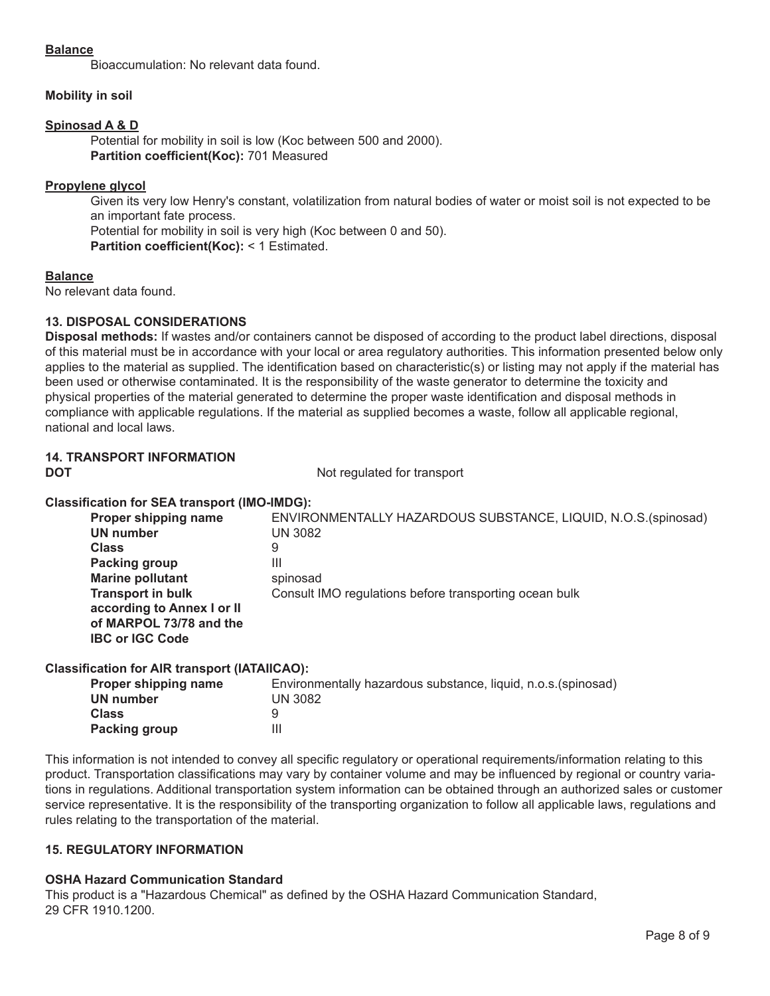# **Balance**

 Bioaccumulation: No relevant data found.

# **Mobility in soil**

# **Spinosad A & D**

 Potential for mobility in soil is low (Koc between 500 and 2000). **Partition coefficient(Koc):** 701 Measured

# **Propylene glycol**

 Given its very low Henry's constant, volatilization from natural bodies of water or moist soil is not expected to be an important fate process. Potential for mobility in soil is very high (Koc between 0 and 50).

**Partition coefficient(Koc):** < 1 Estimated.

# **Balance**

No relevant data found.

# **13. DISPOSAL CONSIDERATIONS**

**Disposal methods:** If wastes and/or containers cannot be disposed of according to the product label directions, disposal of this material must be in accordance with your local or area regulatory authorities. This information presented below only applies to the material as supplied. The identification based on characteristic(s) or listing may not apply if the material has been used or otherwise contaminated. It is the responsibility of the waste generator to determine the toxicity and physical properties of the material generated to determine the proper waste identification and disposal methods in compliance with applicable regulations. If the material as supplied becomes a waste, follow all applicable regional, national and local laws.

# **14. TRANSPORT INFORMATION**

**DOT** Not regulated for transport

# **Classification for SEA transport (IMO-IMDG):**

| Proper shipping name<br><b>UN</b> number | ENVIRONMENTALLY HAZARDOUS SUBSTANCE, LIQUID, N.O.S. (spinosad)<br>UN 3082 |
|------------------------------------------|---------------------------------------------------------------------------|
| <b>Class</b>                             | 9                                                                         |
| Packing group                            | Ш                                                                         |
| <b>Marine pollutant</b>                  | spinosad                                                                  |
| <b>Transport in bulk</b>                 | Consult IMO regulations before transporting ocean bulk                    |
| according to Annex I or II               |                                                                           |
| of MARPOL 73/78 and the                  |                                                                           |
| <b>IBC or IGC Code</b>                   |                                                                           |

# **Classification for AIR transport (IATAIICAO):**

| Proper shipping name | Environmentally hazardous substance, liquid, n.o.s. (spinosad) |
|----------------------|----------------------------------------------------------------|
| UN number            | <b>UN 3082</b>                                                 |
| <b>Class</b>         |                                                                |
| Packing group        |                                                                |

This information is not intended to convey all specific regulatory or operational requirements/information relating to this product. Transportation classifications may vary by container volume and may be influenced by regional or country variations in regulations. Additional transportation system information can be obtained through an authorized sales or customer service representative. It is the responsibility of the transporting organization to follow all applicable laws, regulations and rules relating to the transportation of the material.

# **15. REGULATORY INFORMATION**

# **OSHA Hazard Communication Standard**

This product is a "Hazardous Chemical" as defined by the OSHA Hazard Communication Standard, 29 CFR 1910.1200.